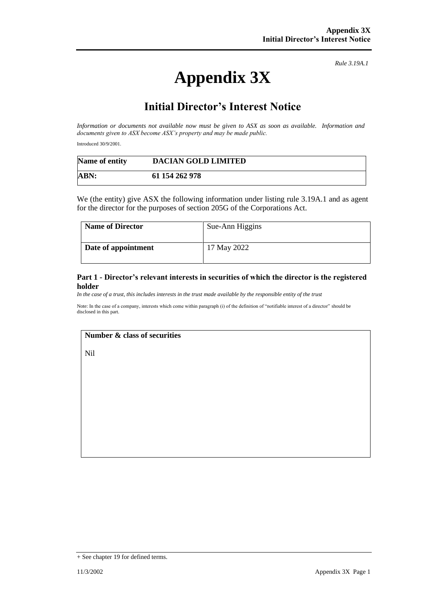# **Appendix 3X**

*Rule 3.19A.1*

## **Initial Director's Interest Notice**

*Information or documents not available now must be given to ASX as soon as available. Information and documents given to ASX become ASX's property and may be made public.*

Introduced 30/9/2001.

| Name of entity | <b>DACIAN GOLD LIMITED</b> |  |
|----------------|----------------------------|--|
| ABN:           | 61 154 262 978             |  |

We (the entity) give ASX the following information under listing rule 3.19A.1 and as agent for the director for the purposes of section 205G of the Corporations Act.

| <b>Name of Director</b> | Sue-Ann Higgins |
|-------------------------|-----------------|
| Date of appointment     | 17 May 2022     |

#### **Part 1 - Director's relevant interests in securities of which the director is the registered holder**

*In the case of a trust, this includes interests in the trust made available by the responsible entity of the trust*

Note: In the case of a company, interests which come within paragraph (i) of the definition of "notifiable interest of a director" should be disclosed in this part.

#### **Number & class of securities**

Nil

<sup>+</sup> See chapter 19 for defined terms.